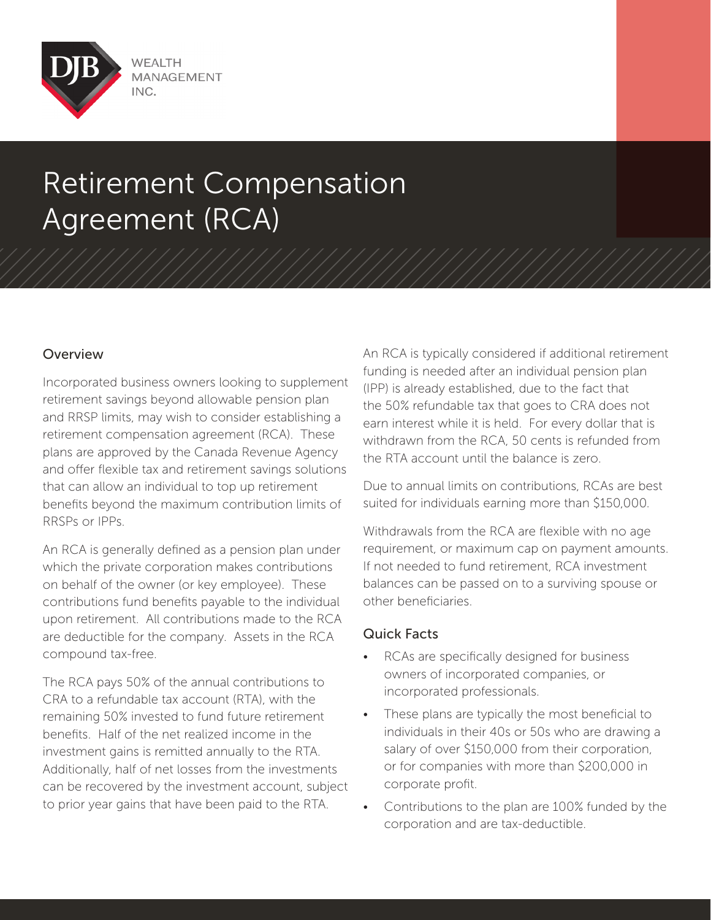

# Retirement Compensation Agreement (RCA)

### Overview

Incorporated business owners looking to supplement retirement savings beyond allowable pension plan and RRSP limits, may wish to consider establishing a retirement compensation agreement (RCA). These plans are approved by the Canada Revenue Agency and offer flexible tax and retirement savings solutions that can allow an individual to top up retirement benefits beyond the maximum contribution limits of RRSPs or IPPs.

An RCA is generally defined as a pension plan under which the private corporation makes contributions on behalf of the owner (or key employee). These contributions fund benefits payable to the individual upon retirement. All contributions made to the RCA are deductible for the company. Assets in the RCA compound tax-free.

The RCA pays 50% of the annual contributions to CRA to a refundable tax account (RTA), with the remaining 50% invested to fund future retirement benefits. Half of the net realized income in the investment gains is remitted annually to the RTA. Additionally, half of net losses from the investments can be recovered by the investment account, subject to prior year gains that have been paid to the RTA.

An RCA is typically considered if additional retirement funding is needed after an individual pension plan (IPP) is already established, due to the fact that the 50% refundable tax that goes to CRA does not earn interest while it is held. For every dollar that is withdrawn from the RCA, 50 cents is refunded from the RTA account until the balance is zero.

Due to annual limits on contributions, RCAs are best suited for individuals earning more than \$150,000.

Withdrawals from the RCA are flexible with no age requirement, or maximum cap on payment amounts. If not needed to fund retirement, RCA investment balances can be passed on to a surviving spouse or other beneficiaries.

### Quick Facts

- RCAs are specifically designed for business owners of incorporated companies, or incorporated professionals.
- These plans are typically the most beneficial to individuals in their 40s or 50s who are drawing a salary of over \$150,000 from their corporation, or for companies with more than \$200,000 in corporate profit.
- Contributions to the plan are 100% funded by the corporation and are tax-deductible.